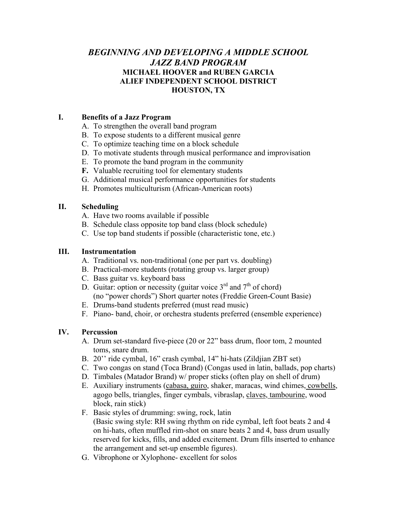# *BEGINNING AND DEVELOPING A MIDDLE SCHOOL JAZZ BAND PROGRAM*  **MICHAEL HOOVER and RUBEN GARCIA ALIEF INDEPENDENT SCHOOL DISTRICT HOUSTON, TX**

# **I. Benefits of a Jazz Program**

- A. To strengthen the overall band program
- B. To expose students to a different musical genre
- C. To optimize teaching time on a block schedule
- D. To motivate students through musical performance and improvisation
- E. To promote the band program in the community
- **F.** Valuable recruiting tool for elementary students
- G. Additional musical performance opportunities for students
- H. Promotes multiculturism (African-American roots)

## **II. Scheduling**

- A. Have two rooms available if possible
- B. Schedule class opposite top band class (block schedule)
- C. Use top band students if possible (characteristic tone, etc.)

## **III. Instrumentation**

- A. Traditional vs. non-traditional (one per part vs. doubling)
- B. Practical-more students (rotating group vs. larger group)
- C. Bass guitar vs. keyboard bass
- D. Guitar: option or necessity (guitar voice  $3<sup>rd</sup>$  and  $7<sup>th</sup>$  of chord)
	- (no "power chords") Short quarter notes (Freddie Green-Count Basie)
- E. Drums-band students preferred (must read music)
- F. Piano- band, choir, or orchestra students preferred (ensemble experience)

# **IV. Percussion**

- A. Drum set-standard five-piece (20 or 22" bass drum, floor tom, 2 mounted toms, snare drum.
- B. 20'' ride cymbal, 16" crash cymbal, 14" hi-hats (Zildjian ZBT set)
- C. Two congas on stand (Toca Brand) (Congas used in latin, ballads, pop charts)
- D. Timbales (Matador Brand) w/ proper sticks (often play on shell of drum)
- E. Auxiliary instruments (cabasa, guiro, shaker, maracas, wind chimes, cowbells, agogo bells, triangles, finger cymbals, vibraslap, claves, tambourine, wood block, rain stick)
- F. Basic styles of drumming: swing, rock, latin (Basic swing style: RH swing rhythm on ride cymbal, left foot beats 2 and 4 on hi-hats, often muffled rim-shot on snare beats 2 and 4, bass drum usually reserved for kicks, fills, and added excitement. Drum fills inserted to enhance the arrangement and set-up ensemble figures).
- G. Vibrophone or Xylophone- excellent for solos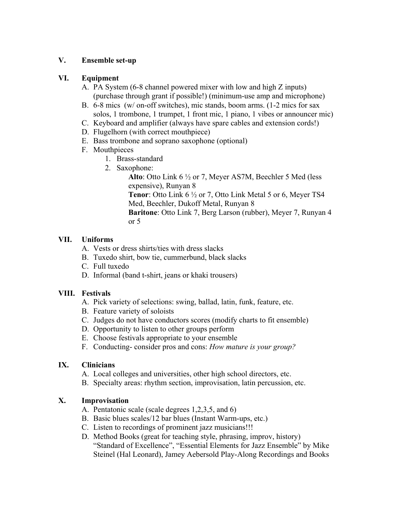## **V. Ensemble set-up**

## **VI. Equipment**

- A. PA System (6-8 channel powered mixer with low and high Z inputs) (purchase through grant if possible!) (minimum-use amp and microphone)
- B. 6-8 mics (w/ on-off switches), mic stands, boom arms. (1-2 mics for sax solos, 1 trombone, 1 trumpet, 1 front mic, 1 piano, 1 vibes or announcer mic)
- C. Keyboard and amplifier (always have spare cables and extension cords!)
- D. Flugelhorn (with correct mouthpiece)
- E. Bass trombone and soprano saxophone (optional)
- F. Mouthpieces
	- 1. Brass-standard
	- 2. Saxophone:

**Alto**: Otto Link 6 ½ or 7, Meyer AS7M, Beechler 5 Med (less expensive), Runyan 8 **Tenor**: Otto Link 6 ½ or 7, Otto Link Metal 5 or 6, Meyer TS4 Med, Beechler, Dukoff Metal, Runyan 8 **Baritone**: Otto Link 7, Berg Larson (rubber), Meyer 7, Runyan 4 or 5

# **VII. Uniforms**

- A. Vests or dress shirts/ties with dress slacks
- B. Tuxedo shirt, bow tie, cummerbund, black slacks
- C. Full tuxedo
- D. Informal (band t-shirt, jeans or khaki trousers)

# **VIII. Festivals**

- A. Pick variety of selections: swing, ballad, latin, funk, feature, etc.
- B. Feature variety of soloists
- C. Judges do not have conductors scores (modify charts to fit ensemble)
- D. Opportunity to listen to other groups perform
- E. Choose festivals appropriate to your ensemble
- F. Conducting- consider pros and cons: *How mature is your group?*

# **IX. Clinicians**

- A. Local colleges and universities, other high school directors, etc.
- B. Specialty areas: rhythm section, improvisation, latin percussion, etc.

# **X. Improvisation**

- A. Pentatonic scale (scale degrees 1,2,3,5, and 6)
- B. Basic blues scales/12 bar blues (Instant Warm-ups, etc.)
- C. Listen to recordings of prominent jazz musicians!!!
- D. Method Books (great for teaching style, phrasing, improv, history) "Standard of Excellence", "Essential Elements for Jazz Ensemble" by Mike Steinel (Hal Leonard), Jamey Aebersold Play-Along Recordings and Books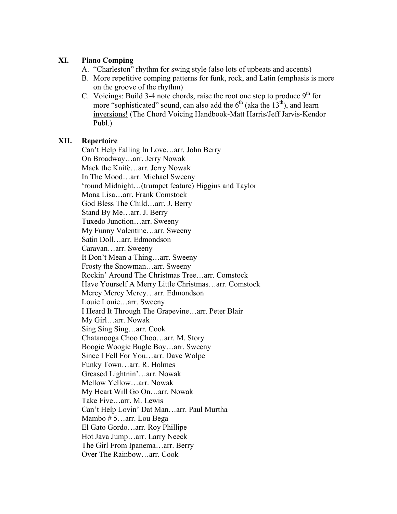# **XI. Piano Comping**

- A. "Charleston" rhythm for swing style (also lots of upbeats and accents)
- B. More repetitive comping patterns for funk, rock, and Latin (emphasis is more on the groove of the rhythm)
- C. Voicings: Build 3-4 note chords, raise the root one step to produce  $9<sup>th</sup>$  for more "sophisticated" sound, can also add the  $6<sup>th</sup>$  (aka the 13<sup>th</sup>), and learn inversions! (The Chord Voicing Handbook-Matt Harris/Jeff Jarvis-Kendor Publ.)

# **XII. Repertoire**

 Can't Help Falling In Love…arr. John Berry On Broadway…arr. Jerry Nowak Mack the Knife…arr. Jerry Nowak In The Mood…arr. Michael Sweeny 'round Midnight…(trumpet feature) Higgins and Taylor Mona Lisa…arr. Frank Comstock God Bless The Child…arr. J. Berry Stand By Me…arr. J. Berry Tuxedo Junction…arr. Sweeny My Funny Valentine…arr. Sweeny Satin Doll…arr. Edmondson Caravan…arr. Sweeny It Don't Mean a Thing…arr. Sweeny Frosty the Snowman…arr. Sweeny Rockin' Around The Christmas Tree…arr. Comstock Have Yourself A Merry Little Christmas…arr. Comstock Mercy Mercy Mercy…arr. Edmondson Louie Louie…arr. Sweeny I Heard It Through The Grapevine…arr. Peter Blair My Girl…arr. Nowak Sing Sing Sing…arr. Cook Chatanooga Choo Choo…arr. M. Story Boogie Woogie Bugle Boy…arr. Sweeny Since I Fell For You…arr. Dave Wolpe Funky Town…arr. R. Holmes Greased Lightnin'…arr. Nowak Mellow Yellow…arr. Nowak My Heart Will Go On…arr. Nowak Take Five…arr. M. Lewis Can't Help Lovin' Dat Man…arr. Paul Murtha Mambo # 5…arr. Lou Bega El Gato Gordo…arr. Roy Phillipe Hot Java Jump…arr. Larry Neeck The Girl From Ipanema…arr. Berry Over The Rainbow…arr. Cook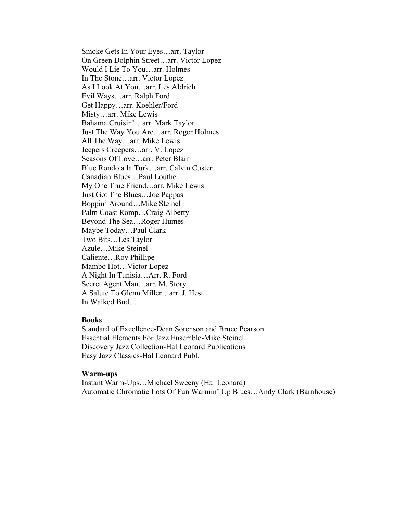Smoke Gets In Your Eyes…arr. Taylor On Green Dolphin Street…arr. Victor Lopez Would I Lie To You…arr. Holmes In The Stone…arr. Victor Lopez As I Look At You…arr. Les Aldrich Evil Ways…arr. Ralph Ford Get Happy…arr. Koehler/Ford Misty…arr. Mike Lewis Bahama Cruisin'…arr. Mark Taylor Just The Way You Are…arr. Roger Holmes All The Way…arr. Mike Lewis Jeepers Creepers…arr. V. Lopez Seasons Of Love…arr. Peter Blair Blue Rondo a la Turk…arr. Calvin Custer Canadian Blues…Paul Louthe My One True Friend…arr. Mike Lewis Just Got The Blues…Joe Pappas Boppin' Around…Mike Steinel Palm Coast Romp…Craig Alberty Beyond The Sea…Roger Humes Maybe Today…Paul Clark Two Bits…Les Taylor Azule…Mike Steinel Caliente…Roy Phillipe Mambo Hot…Victor Lopez A Night In Tunisia…Arr. R. Ford Secret Agent Man…arr. M. Story A Salute To Glenn Miller…arr. J. Hest In Walked Bud…

#### **Books**

Standard of Excellence-Dean Sorenson and Bruce Pearson Essential Elements For Jazz Ensemble-Mike Steinel Discovery Jazz Collection-Hal Leonard Publications Easy Jazz Classics-Hal Leonard Publ.

#### **Warm-ups**

Instant Warm-Ups…Michael Sweeny (Hal Leonard) Automatic Chromatic Lots Of Fun Warmin' Up Blues…Andy Clark (Barnhouse)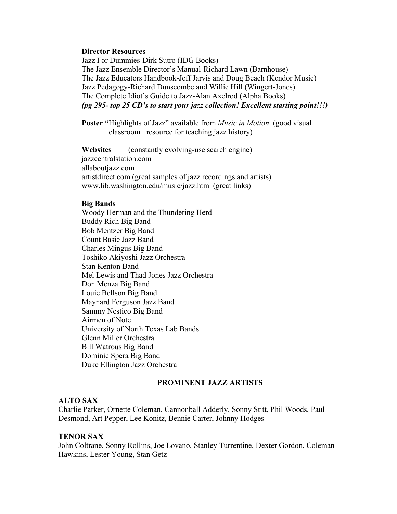#### **Director Resources**

Jazz For Dummies-Dirk Sutro (IDG Books) The Jazz Ensemble Director's Manual-Richard Lawn (Barnhouse) The Jazz Educators Handbook-Jeff Jarvis and Doug Beach (Kendor Music) Jazz Pedagogy-Richard Dunscombe and Willie Hill (Wingert-Jones) The Complete Idiot's Guide to Jazz-Alan Axelrod (Alpha Books) *(pg 295- top 25 CD's to start your jazz collection! Excellent starting point!!!)*

**Poster "**Highlights of Jazz" available from *Music in Motion* (good visual classroom resource for teaching jazz history)

**Websites** (constantly evolving-use search engine) jazzcentralstation.com allaboutjazz.com artistdirect.com (great samples of jazz recordings and artists) www.lib.washington.edu/music/jazz.htm (great links)

### **Big Bands**

 Woody Herman and the Thundering Herd Buddy Rich Big Band Bob Mentzer Big Band Count Basie Jazz Band Charles Mingus Big Band Toshiko Akiyoshi Jazz Orchestra Stan Kenton Band Mel Lewis and Thad Jones Jazz Orchestra Don Menza Big Band Louie Bellson Big Band Maynard Ferguson Jazz Band Sammy Nestico Big Band Airmen of Note University of North Texas Lab Bands Glenn Miller Orchestra Bill Watrous Big Band Dominic Spera Big Band Duke Ellington Jazz Orchestra

### **PROMINENT JAZZ ARTISTS**

#### **ALTO SAX**

Charlie Parker, Ornette Coleman, Cannonball Adderly, Sonny Stitt, Phil Woods, Paul Desmond, Art Pepper, Lee Konitz, Bennie Carter, Johnny Hodges

### **TENOR SAX**

John Coltrane, Sonny Rollins, Joe Lovano, Stanley Turrentine, Dexter Gordon, Coleman Hawkins, Lester Young, Stan Getz